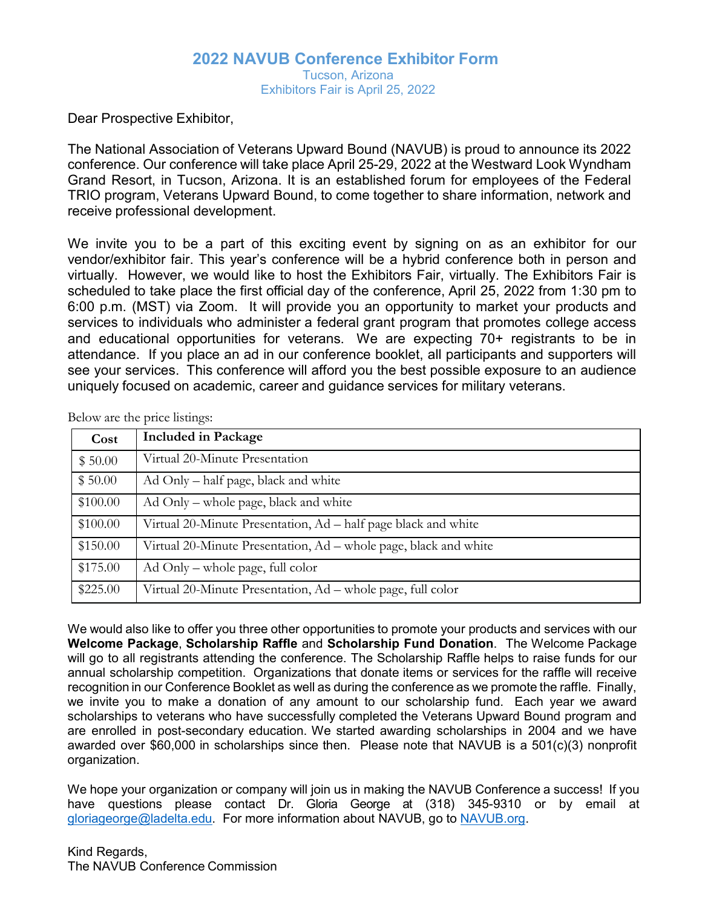## **2022 NAVUB Conference Exhibitor Form** Tucson, Arizona Exhibitors Fair is April 25, 2022

Dear Prospective Exhibitor,

The National Association of Veterans Upward Bound (NAVUB) is proud to announce its 2022 conference. Our conference will take place April 25-29, 2022 at the Westward Look Wyndham Grand Resort, in Tucson, Arizona. It is an established forum for employees of the Federal TRIO program, Veterans Upward Bound, to come together to share information, network and receive professional development.

We invite you to be a part of this exciting event by signing on as an exhibitor for our vendor/exhibitor fair. This year's conference will be a hybrid conference both in person and virtually. However, we would like to host the Exhibitors Fair, virtually. The Exhibitors Fair is scheduled to take place the first official day of the conference, April 25, 2022 from 1:30 pm to 6:00 p.m. (MST) via Zoom. It will provide you an opportunity to market your products and services to individuals who administer a federal grant program that promotes college access and educational opportunities for veterans. We are expecting 70+ registrants to be in attendance. If you place an ad in our conference booklet, all participants and supporters will see your services. This conference will afford you the best possible exposure to an audience uniquely focused on academic, career and guidance services for military veterans.

| Cost     | <b>Included in Package</b>                                       |
|----------|------------------------------------------------------------------|
| \$50.00  | Virtual 20-Minute Presentation                                   |
| \$50.00  | Ad Only – half page, black and white                             |
| \$100.00 | Ad Only – whole page, black and white                            |
| \$100.00 | Virtual 20-Minute Presentation, Ad – half page black and white   |
| \$150.00 | Virtual 20-Minute Presentation, Ad – whole page, black and white |
| \$175.00 | $\rm{Ad}$ Only – whole page, full color                          |
| \$225.00 | Virtual 20-Minute Presentation, Ad – whole page, full color      |

Below are the price listings:

We would also like to offer you three other opportunities to promote your products and services with our **Welcome Package**, **Scholarship Raffle** and **Scholarship Fund Donation**. The Welcome Package will go to all registrants attending the conference. The Scholarship Raffle helps to raise funds for our annual scholarship competition. Organizations that donate items or services for the raffle will receive recognition in our Conference Booklet as well as during the conference as we promote the raffle. Finally, we invite you to make a donation of any amount to our scholarship fund. Each year we award scholarships to veterans who have successfully completed the Veterans Upward Bound program and are enrolled in post-secondary education. We started awarding scholarships in 2004 and we have awarded over \$60,000 in scholarships since then. Please note that NAVUB is a 501(c)(3) nonprofit organization.

We hope your organization or company will join us in making the NAVUB Conference a success! If you have questions please contact Dr. Gloria George at (318) 345-9310 or by email at [gloriageorge@ladelta.edu.](mailto:gloriageorge@ladelta.edu) For more information about NAVUB, go to [NAVUB.org.](http://www.navub.org/annualconference/index.php?page=annual)

Kind Regards, The NAVUB Conference Commission